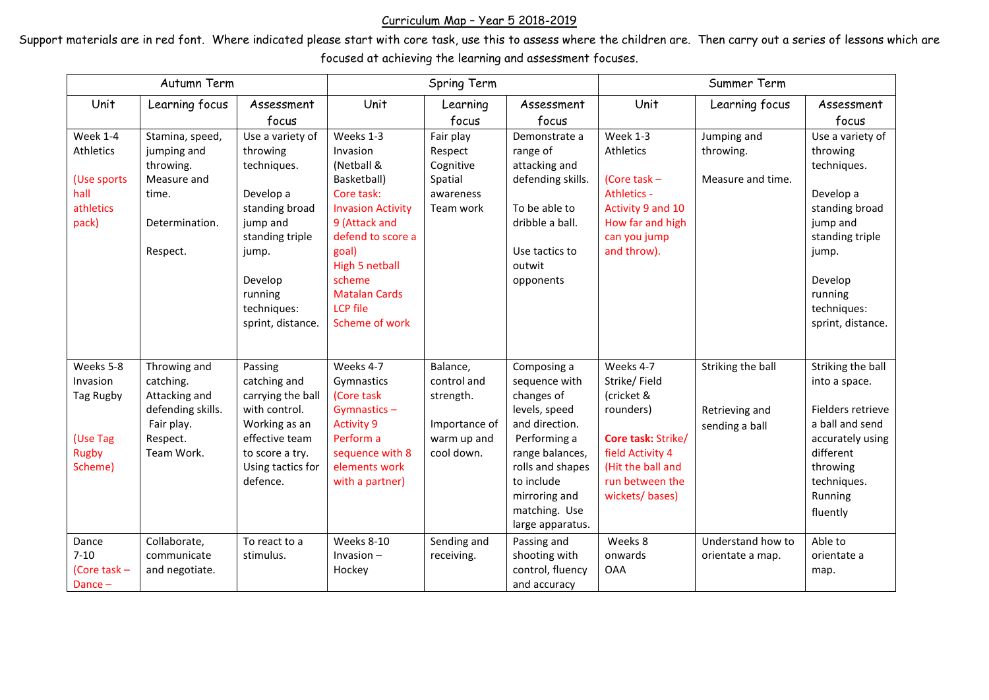## Curriculum Map – Year 5 2018-2019

Support materials are in red font. Where indicated please start with core task, use this to assess where the children are. Then carry out a series of lessons which are focused at achieving the learning and assessment focuses.

| Autumn Term    |                   |                   | Spring Term              |               |                                   | Summer Term        |                   |                   |
|----------------|-------------------|-------------------|--------------------------|---------------|-----------------------------------|--------------------|-------------------|-------------------|
| Unit           | Learning focus    | Assessment        | Unit                     | Learning      | Assessment                        | Unit               | Learning focus    | Assessment        |
|                |                   | focus             |                          | focus         | focus                             |                    |                   | focus             |
| Week 1-4       | Stamina, speed,   | Use a variety of  | Weeks 1-3                | Fair play     | Demonstrate a                     | Week 1-3           | Jumping and       | Use a variety of  |
| Athletics      | jumping and       | throwing          | Invasion                 | Respect       | range of                          | Athletics          | throwing.         | throwing          |
|                | throwing.         | techniques.       | (Netball &               | Cognitive     | attacking and                     |                    |                   | techniques.       |
| (Use sports    | Measure and       |                   | Basketball)              | Spatial       | defending skills.                 | (Core task $-$     | Measure and time. |                   |
| hall           | time.             | Develop a         | Core task:               | awareness     |                                   | Athletics -        |                   | Develop a         |
| athletics      |                   | standing broad    | <b>Invasion Activity</b> | Team work     | To be able to                     | Activity 9 and 10  |                   | standing broad    |
| pack)          | Determination.    | jump and          | 9 (Attack and            |               | dribble a ball.                   | How far and high   |                   | jump and          |
|                |                   | standing triple   | defend to score a        |               |                                   | can you jump       |                   | standing triple   |
|                | Respect.          | jump.             | goal)<br>High 5 netball  |               | Use tactics to<br>outwit          | and throw).        |                   | jump.             |
|                |                   | Develop           | scheme                   |               | opponents                         |                    |                   | Develop           |
|                |                   | running           | <b>Matalan Cards</b>     |               |                                   |                    |                   | running           |
|                |                   | techniques:       | <b>LCP file</b>          |               |                                   |                    |                   | techniques:       |
|                |                   | sprint, distance. | Scheme of work           |               |                                   |                    |                   | sprint, distance. |
|                |                   |                   |                          |               |                                   |                    |                   |                   |
|                |                   |                   |                          |               |                                   |                    |                   |                   |
| Weeks 5-8      | Throwing and      | Passing           | Weeks 4-7                | Balance,      | Composing a                       | Weeks 4-7          | Striking the ball | Striking the ball |
| Invasion       | catching.         | catching and      | Gymnastics               | control and   | sequence with                     | Strike/Field       |                   | into a space.     |
| Tag Rugby      | Attacking and     | carrying the ball | (Core task               | strength.     | changes of                        | (cricket &         |                   |                   |
|                | defending skills. | with control.     | Gymnastics $-$           |               | levels, speed                     | rounders)          | Retrieving and    | Fielders retrieve |
|                | Fair play.        | Working as an     | <b>Activity 9</b>        | Importance of | and direction.                    |                    | sending a ball    | a ball and send   |
| (Use Tag       | Respect.          | effective team    | Perform a                | warm up and   | Performing a                      | Core task: Strike/ |                   | accurately using  |
| <b>Rugby</b>   | Team Work.        | to score a try.   | sequence with 8          | cool down.    | range balances,                   | field Activity 4   |                   | different         |
| Scheme)        |                   | Using tactics for | elements work            |               | rolls and shapes                  | (Hit the ball and  |                   | throwing          |
|                |                   | defence.          | with a partner)          |               | to include                        | run between the    |                   | techniques.       |
|                |                   |                   |                          |               | mirroring and                     | wickets/bases)     |                   | Running           |
|                |                   |                   |                          |               | matching. Use<br>large apparatus. |                    |                   | fluently          |
| Dance          | Collaborate,      | To react to a     | Weeks 8-10               | Sending and   | Passing and                       | Weeks 8            | Understand how to | Able to           |
| $7 - 10$       | communicate       | stimulus.         | $Invasion -$             | receiving.    | shooting with                     | onwards            |                   | orientate a       |
| (Core task $-$ | and negotiate.    |                   | Hockey                   |               | control, fluency                  | <b>OAA</b>         | orientate a map.  | map.              |
| Dance -        |                   |                   |                          |               | and accuracy                      |                    |                   |                   |
|                |                   |                   |                          |               |                                   |                    |                   |                   |